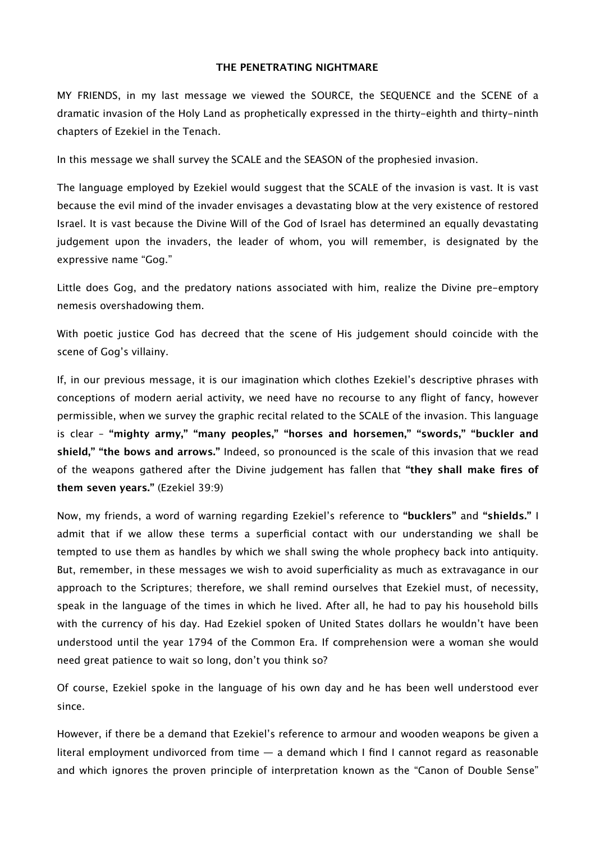## **THE PENETRATING NIGHTMARE**

MY FRIENDS, in my last message we viewed the SOURCE, the SEQUENCE and the SCENE of a dramatic invasion of the Holy Land as prophetically expressed in the thirty-eighth and thirty-ninth chapters of Ezekiel in the Tenach.

In this message we shall survey the SCALE and the SEASON of the prophesied invasion.

The language employed by Ezekiel would suggest that the SCALE of the invasion is vast. It is vast because the evil mind of the invader envisages a devastating blow at the very existence of restored Israel. It is vast because the Divine Will of the God of Israel has determined an equally devastating judgement upon the invaders, the leader of whom, you will remember, is designated by the expressive name "Gog."

Little does Gog, and the predatory nations associated with him, realize the Divine pre-emptory nemesis overshadowing them.

With poetic justice God has decreed that the scene of His judgement should coincide with the scene of Gog's villainy.

If, in our previous message, it is our imagination which clothes Ezekiel's descriptive phrases with conceptions of modern aerial activity, we need have no recourse to any flight of fancy, however permissible, when we survey the graphic recital related to the SCALE of the invasion. This language is clear – **"mighty army," "many peoples," "horses and horsemen," "swords," "buckler and shield," "the bows and arrows."** Indeed, so pronounced is the scale of this invasion that we read of the weapons gathered after the Divine judgement has fallen that **"they shall make fires of them seven years."** (Ezekiel 39:9)

Now, my friends, a word of warning regarding Ezekiel's reference to **"bucklers"** and **"shields."** I admit that if we allow these terms a superficial contact with our understanding we shall be tempted to use them as handles by which we shall swing the whole prophecy back into antiquity. But, remember, in these messages we wish to avoid superficiality as much as extravagance in our approach to the Scriptures; therefore, we shall remind ourselves that Ezekiel must, of necessity, speak in the language of the times in which he lived. After all, he had to pay his household bills with the currency of his day. Had Ezekiel spoken of United States dollars he wouldn't have been understood until the year 1794 of the Common Era. If comprehension were a woman she would need great patience to wait so long, don't you think so?

Of course, Ezekiel spoke in the language of his own day and he has been well understood ever since.

However, if there be a demand that Ezekiel's reference to armour and wooden weapons be given a literal employment undivorced from time — a demand which I find I cannot regard as reasonable and which ignores the proven principle of interpretation known as the "Canon of Double Sense"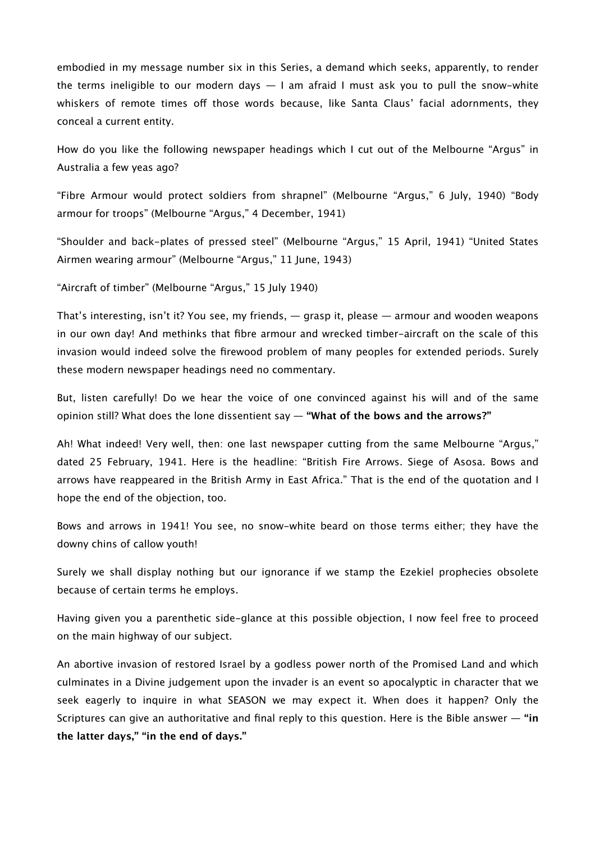embodied in my message number six in this Series, a demand which seeks, apparently, to render the terms ineligible to our modern days  $-1$  am afraid I must ask you to pull the snow-white whiskers of remote times off those words because, like Santa Claus' facial adornments, they conceal a current entity.

How do you like the following newspaper headings which I cut out of the Melbourne "Argus" in Australia a few yeas ago?

"Fibre Armour would protect soldiers from shrapnel" (Melbourne "Argus," 6 July, 1940) "Body armour for troops" (Melbourne "Argus," 4 December, 1941)

"Shoulder and back-plates of pressed steel" (Melbourne "Argus," 15 April, 1941) "United States Airmen wearing armour" (Melbourne "Argus," 11 June, 1943)

"Aircraft of timber" (Melbourne "Argus," 15 July 1940)

That's interesting, isn't it? You see, my friends, — grasp it, please — armour and wooden weapons in our own day! And methinks that fibre armour and wrecked timber-aircraft on the scale of this invasion would indeed solve the firewood problem of many peoples for extended periods. Surely these modern newspaper headings need no commentary.

But, listen carefully! Do we hear the voice of one convinced against his will and of the same opinion still? What does the lone dissentient say — **"What of the bows and the arrows?"**

Ah! What indeed! Very well, then: one last newspaper cutting from the same Melbourne "Argus," dated 25 February, 1941. Here is the headline: "British Fire Arrows. Siege of Asosa. Bows and arrows have reappeared in the British Army in East Africa." That is the end of the quotation and I hope the end of the objection, too.

Bows and arrows in 1941! You see, no snow-white beard on those terms either; they have the downy chins of callow youth!

Surely we shall display nothing but our ignorance if we stamp the Ezekiel prophecies obsolete because of certain terms he employs.

Having given you a parenthetic side-glance at this possible objection, I now feel free to proceed on the main highway of our subject.

An abortive invasion of restored Israel by a godless power north of the Promised Land and which culminates in a Divine judgement upon the invader is an event so apocalyptic in character that we seek eagerly to inquire in what SEASON we may expect it. When does it happen? Only the Scriptures can give an authoritative and final reply to this question. Here is the Bible answer — **"in the latter days," "in the end of days."**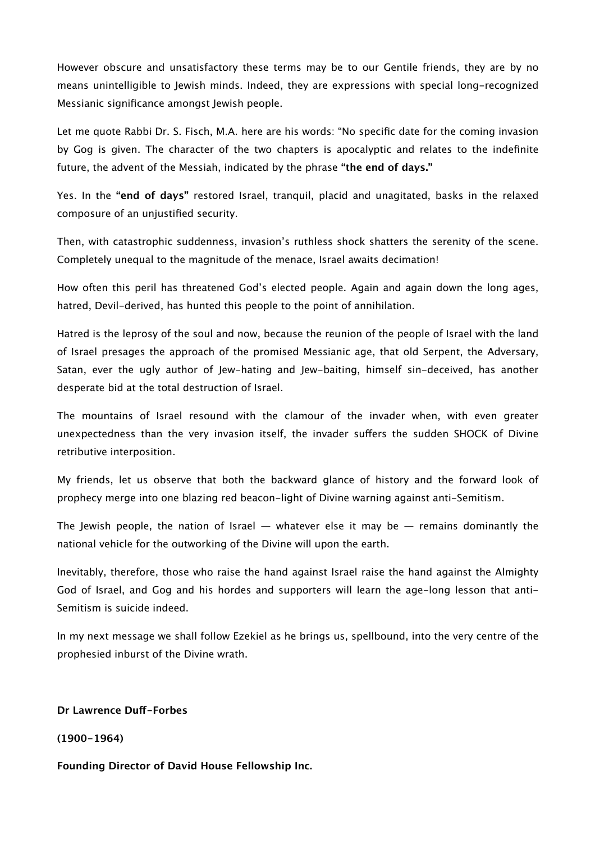However obscure and unsatisfactory these terms may be to our Gentile friends, they are by no means unintelligible to Jewish minds. Indeed, they are expressions with special long-recognized Messianic significance amongst Jewish people.

Let me quote Rabbi Dr. S. Fisch, M.A. here are his words: "No specific date for the coming invasion by Gog is given. The character of the two chapters is apocalyptic and relates to the indefinite future, the advent of the Messiah, indicated by the phrase **"the end of days."**

Yes. In the **"end of days"** restored Israel, tranquil, placid and unagitated, basks in the relaxed composure of an unjustified security.

Then, with catastrophic suddenness, invasion's ruthless shock shatters the serenity of the scene. Completely unequal to the magnitude of the menace, Israel awaits decimation!

How often this peril has threatened God's elected people. Again and again down the long ages, hatred, Devil-derived, has hunted this people to the point of annihilation.

Hatred is the leprosy of the soul and now, because the reunion of the people of Israel with the land of Israel presages the approach of the promised Messianic age, that old Serpent, the Adversary, Satan, ever the ugly author of Jew-hating and Jew-baiting, himself sin-deceived, has another desperate bid at the total destruction of Israel.

The mountains of Israel resound with the clamour of the invader when, with even greater unexpectedness than the very invasion itself, the invader sufers the sudden SHOCK of Divine retributive interposition.

My friends, let us observe that both the backward glance of history and the forward look of prophecy merge into one blazing red beacon-light of Divine warning against anti-Semitism.

The Jewish people, the nation of Israel  $-$  whatever else it may be  $-$  remains dominantly the national vehicle for the outworking of the Divine will upon the earth.

Inevitably, therefore, those who raise the hand against Israel raise the hand against the Almighty God of Israel, and Gog and his hordes and supporters will learn the age-long lesson that anti-Semitism is suicide indeed.

In my next message we shall follow Ezekiel as he brings us, spellbound, into the very centre of the prophesied inburst of the Divine wrath.

**Dr Lawrence Duf-Forbes**

**(1900-1964)**

**Founding Director of David House Fellowship Inc.**